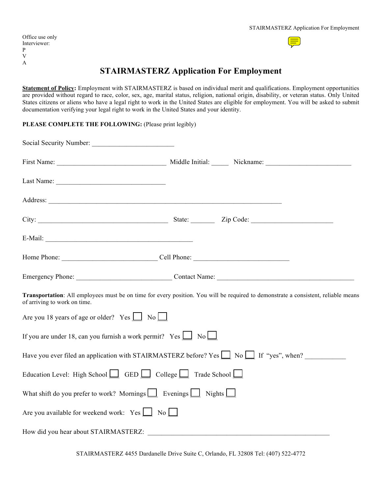| Office use only |
|-----------------|
| Interviewer:    |
| P               |
| V               |
| A               |



# **STAIRMASTERZ Application For Employment**

**Statement of Policy:** Employment with STAIRMASTERZ is based on individual merit and qualifications. Employment opportunities are provided without regard to race, color, sex, age, marital status, religion, national origin, disability, or veteran status. Only United States citizens or aliens who have a legal right to work in the United States are eligible for employment. You will be asked to submit documentation verifying your legal right to work in the United States and your identity.

### PLEASE COMPLETE THE FOLLOWING: (Please print legibly)

|                                                                                 | Emergency Phone: Contact Name: Contact Name:                                                                                       |
|---------------------------------------------------------------------------------|------------------------------------------------------------------------------------------------------------------------------------|
| of arriving to work on time.                                                    | Transportation: All employees must be on time for every position. You will be required to demonstrate a consistent, reliable means |
| Are you 18 years of age or older? Yes $\Box$ No                                 |                                                                                                                                    |
| If you are under 18, can you furnish a work permit? Yes $\Box$ No $\Box$        |                                                                                                                                    |
|                                                                                 | Have you ever filed an application with STAIRMASTERZ before? Yes $\Box$ No $\Box$ If "yes", when?                                  |
| Education Level: High School GED College $\Box$ Trade School $\Box$             |                                                                                                                                    |
| What shift do you prefer to work? Mornings $\Box$ Evenings $\Box$ Nights $\Box$ |                                                                                                                                    |
| Are you available for weekend work: $Yes \cup No \cup$                          |                                                                                                                                    |
|                                                                                 | How did you hear about STAIRMASTERZ:                                                                                               |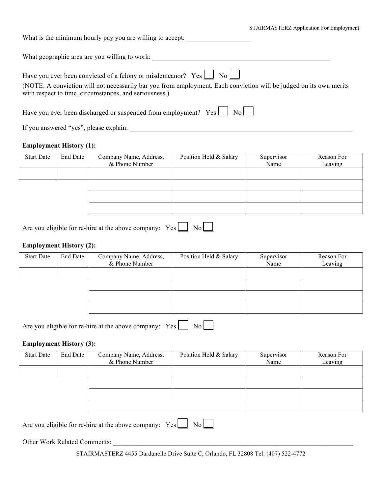| STAIRMASTERZ Application For Employment |  |  |
|-----------------------------------------|--|--|
|                                         |  |  |

| What is the minimum hourly pay you are willing to accept:                                                                                                                    |
|------------------------------------------------------------------------------------------------------------------------------------------------------------------------------|
| What geographic area are you willing to work:                                                                                                                                |
| Have you ever been convicted of a felony or misdemeanor? $Yes \Box No \Box$                                                                                                  |
| (NOTE: A conviction will not necessarily bar you from employment. Each conviction will be judged on its own merits<br>with respect to time, circumstances, and seriousness.) |

Have you ever been discharged or suspended from employment?  $Yes \Box No \Box$ 

If you answered "yes", please explain: \_\_\_\_\_\_\_\_\_\_\_\_\_\_\_\_\_\_\_\_\_\_\_\_\_\_\_\_\_\_\_\_\_\_\_\_\_\_\_\_\_\_\_\_\_\_\_\_\_\_\_\_\_\_\_\_\_\_\_\_\_\_\_\_\_

# **Employment History (1):**

| <b>Start Date</b> | End Date | Company Name, Address,<br>& Phone Number | Position Held & Salary | Supervisor<br>Name | Reason For<br>Leaving |
|-------------------|----------|------------------------------------------|------------------------|--------------------|-----------------------|
|                   |          |                                          |                        |                    |                       |
|                   |          |                                          |                        |                    |                       |
|                   |          |                                          |                        |                    |                       |
|                   |          |                                          |                        |                    |                       |

| Are you eligible for re-hire at the above company: $Yes \boxed{\phantom{0}} No \boxed{\phantom{0}}$ |  |  |  |
|-----------------------------------------------------------------------------------------------------|--|--|--|
|-----------------------------------------------------------------------------------------------------|--|--|--|

### **Employment History (2):**

| <b>Start Date</b> | End Date | Company Name, Address,<br>& Phone Number | Position Held & Salary | Supervisor<br>Name | Reason For<br>Leaving |
|-------------------|----------|------------------------------------------|------------------------|--------------------|-----------------------|
|                   |          |                                          |                        |                    |                       |
|                   |          |                                          |                        |                    |                       |
|                   |          |                                          |                        |                    |                       |
|                   |          |                                          |                        |                    |                       |

| Are you eligible for re-hire at the above company: Yes $\boxed{\phantom{1}}$ No $\boxed{\phantom{1}}$ |  |  |  |
|-------------------------------------------------------------------------------------------------------|--|--|--|
|-------------------------------------------------------------------------------------------------------|--|--|--|

### **Employment History (3):**

| <b>Start Date</b> | <b>End Date</b> | Company Name, Address,<br>& Phone Number | Position Held & Salary | Supervisor<br>Name | Reason For<br>Leaving |
|-------------------|-----------------|------------------------------------------|------------------------|--------------------|-----------------------|
|                   |                 |                                          |                        |                    |                       |
|                   |                 |                                          |                        |                    |                       |
|                   |                 |                                          |                        |                    |                       |
|                   |                 |                                          |                        |                    |                       |

Are you eligible for re-hire at the above company:  $Yes \fbox{3} No$ 

Other Work Related Comments: